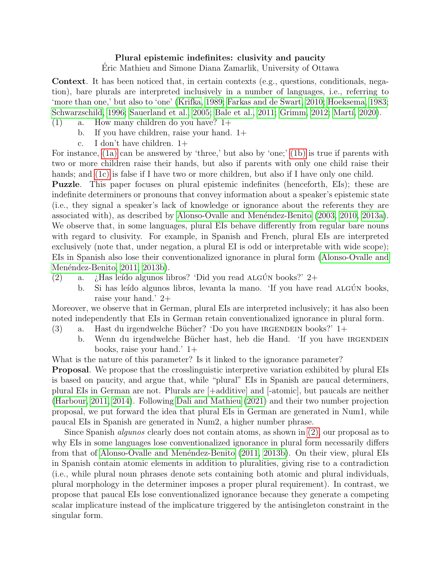## Plural epistemic indefinites: clusivity and paucity

Eric Mathieu and Simone Diana Zamarlik, University of Ottawa ´

Context. It has been noticed that, in certain contexts (e.g., questions, conditionals, negation), bare plurals are interpreted inclusively in a number of languages, i.e., referring to 'more than one,' but also to 'one' [\(Krifka, 1989;](#page-1-0) [Farkas and de Swart, 2010;](#page-1-1) [Hoeksema, 1983;](#page-1-2) [Schwarzschild, 1996;](#page-1-3) [Sauerland et al., 2005;](#page-1-4) [Bale et al., 2011;](#page-1-5) [Grimm, 2012;](#page-1-6) Martí, 2020).

- <span id="page-0-1"></span><span id="page-0-0"></span> $(1)$  a. How many children do you have?  $1+$ 
	- b. If you have children, raise your hand. 1+
	- c. I don't have children. 1+

<span id="page-0-2"></span>For instance, [\(1a\)](#page-0-0) can be answered by 'three,' but also by 'one;' [\(1b\)](#page-0-1) is true if parents with two or more children raise their hands, but also if parents with only one child raise their hands; and [\(1c\)](#page-0-2) is false if I have two or more children, but also if I have only one child.

Puzzle. This paper focuses on plural epistemic indefinites (henceforth, EIs); these are indefinite determiners or pronouns that convey information about a speaker's epistemic state (i.e., they signal a speaker's lack of knowledge or ignorance about the referents they are associated with), as described by Alonso-Ovalle and Menéndez-Benito [\(2003,](#page-1-8) [2010,](#page-1-9) [2013a\)](#page-1-10). We observe that, in some languages, plural EIs behave differently from regular bare nouns with regard to clusivity. For example, in Spanish and French, plural EIs are interpreted exclusively (note that, under negation, a plural EI is odd or interpretable with wide scope); EIs in Spanish also lose their conventionalized ignorance in plural form [\(Alonso-Ovalle and](#page-1-11) Menéndez-Benito, 2011, [2013b\)](#page-1-12).

- <span id="page-0-3"></span>(2) a.  $\chi$  Has leído algunos libros? 'Did you read ALGÚN books?' 2+
	- b. Si has leído algunos libros, levanta la mano. 'If you have read ALGÚN books, raise your hand.' 2+

Moreover, we observe that in German, plural EIs are interpreted inclusively; it has also been noted independently that EIs in German retain conventionalized ignorance in plural form.

- (3) a. Hast du irgendwelche Bücher? 'Do you have IRGENDEIN books?'  $1+$ 
	- b. Wenn du irgendwelche Bücher hast, heb die Hand. 'If you have IRGENDEIN books, raise your hand.' 1+

What is the nature of this parameter? Is it linked to the ignorance parameter?

Proposal. We propose that the crosslinguistic interpretive variation exhibited by plural EIs is based on paucity, and argue that, while "plural" EIs in Spanish are paucal determiners, plural EIs in German are not. Plurals are [+additive] and [-atomic], but paucals are neither [\(Harbour, 2011,](#page-1-13) [2014\)](#page-1-14). Following [Dali and Mathieu](#page-1-15) [\(2021\)](#page-1-15) and their two number projection proposal, we put forward the idea that plural EIs in German are generated in Num1, while paucal EIs in Spanish are generated in Num2, a higher number phrase.

Since Spanish *algunos* clearly does not contain atoms, as shown in [\(2\),](#page-0-3) our proposal as to why EIs in some languages lose conventionalized ignorance in plural form necessarily differs from that of Alonso-Ovalle and Menéndez-Benito [\(2011,](#page-1-11) [2013b\)](#page-1-12). On their view, plural EIs in Spanish contain atomic elements in addition to pluralities, giving rise to a contradiction (i.e., while plural noun phrases denote sets containing both atomic and plural individuals, plural morphology in the determiner imposes a proper plural requirement). In contrast, we propose that paucal EIs lose conventionalized ignorance because they generate a competing scalar implicature instead of the implicature triggered by the antisingleton constraint in the singular form.